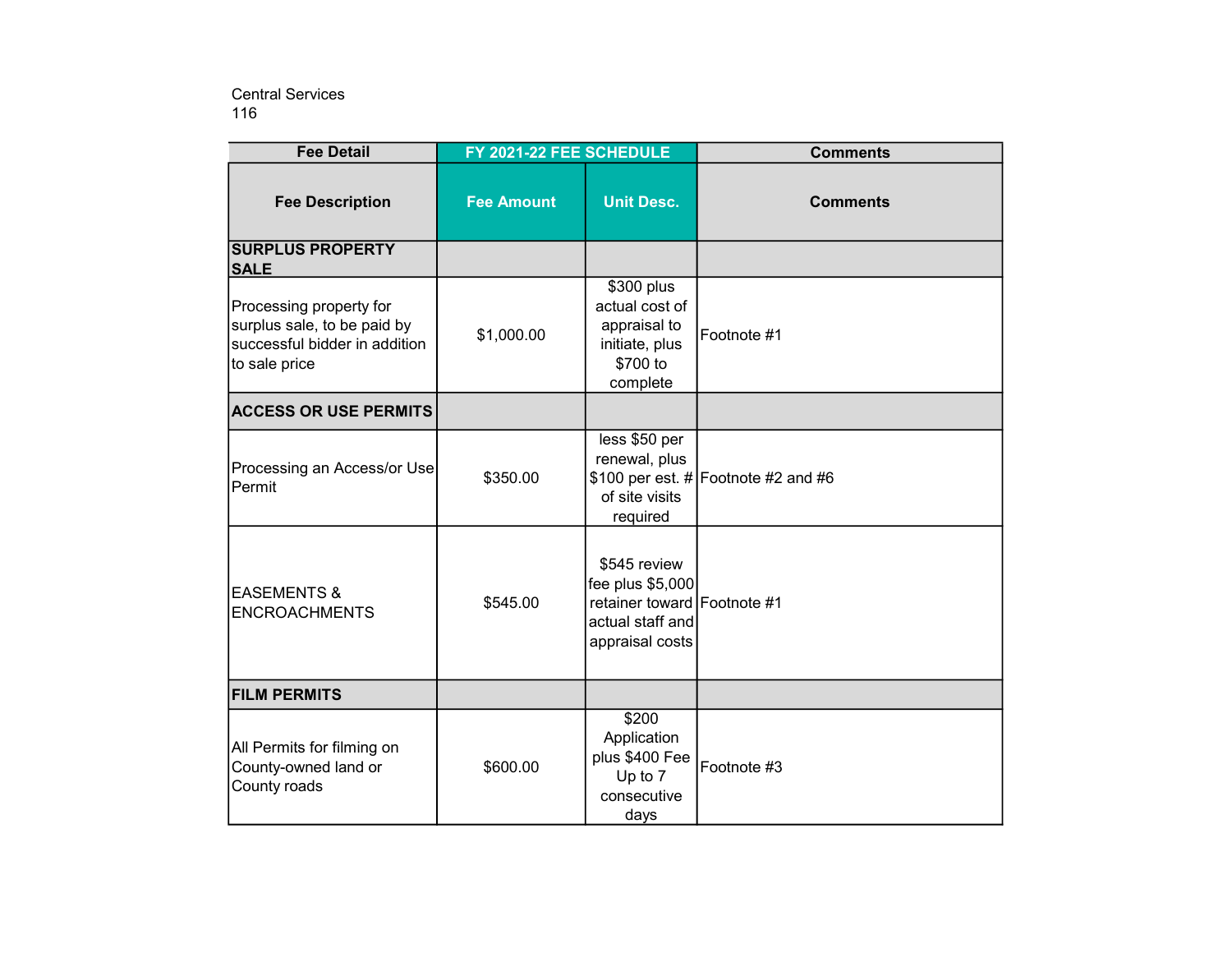116 Central Services

| <b>Fee Detail</b>                                                                                        | FY 2021-22 FEE SCHEDULE |                                                                                                        | <b>Comments</b>                        |
|----------------------------------------------------------------------------------------------------------|-------------------------|--------------------------------------------------------------------------------------------------------|----------------------------------------|
| <b>Fee Description</b>                                                                                   | <b>Fee Amount</b>       | <b>Unit Desc.</b>                                                                                      | <b>Comments</b>                        |
| <b>SURPLUS PROPERTY</b><br><b>SALE</b>                                                                   |                         |                                                                                                        |                                        |
| Processing property for<br>surplus sale, to be paid by<br>successful bidder in addition<br>to sale price | \$1,000.00              | \$300 plus<br>actual cost of<br>appraisal to<br>initiate, plus<br>\$700 to<br>complete                 | Footnote #1                            |
| <b>ACCESS OR USE PERMITS</b>                                                                             |                         |                                                                                                        |                                        |
| Processing an Access/or Use<br>Permit                                                                    | \$350.00                | less \$50 per<br>renewal, plus<br>of site visits<br>required                                           | \$100 per est. $\#$ Footnote #2 and #6 |
| <b>EASEMENTS &amp;</b><br><b>ENCROACHMENTS</b>                                                           | \$545.00                | \$545 review<br>fee plus \$5,000<br>retainer toward Footnote #1<br>actual staff and<br>appraisal costs |                                        |
| <b>FILM PERMITS</b>                                                                                      |                         |                                                                                                        |                                        |
| All Permits for filming on<br>County-owned land or<br>County roads                                       | \$600.00                | \$200<br>Application<br>plus \$400 Fee<br>Up to 7<br>consecutive<br>days                               | Footnote #3                            |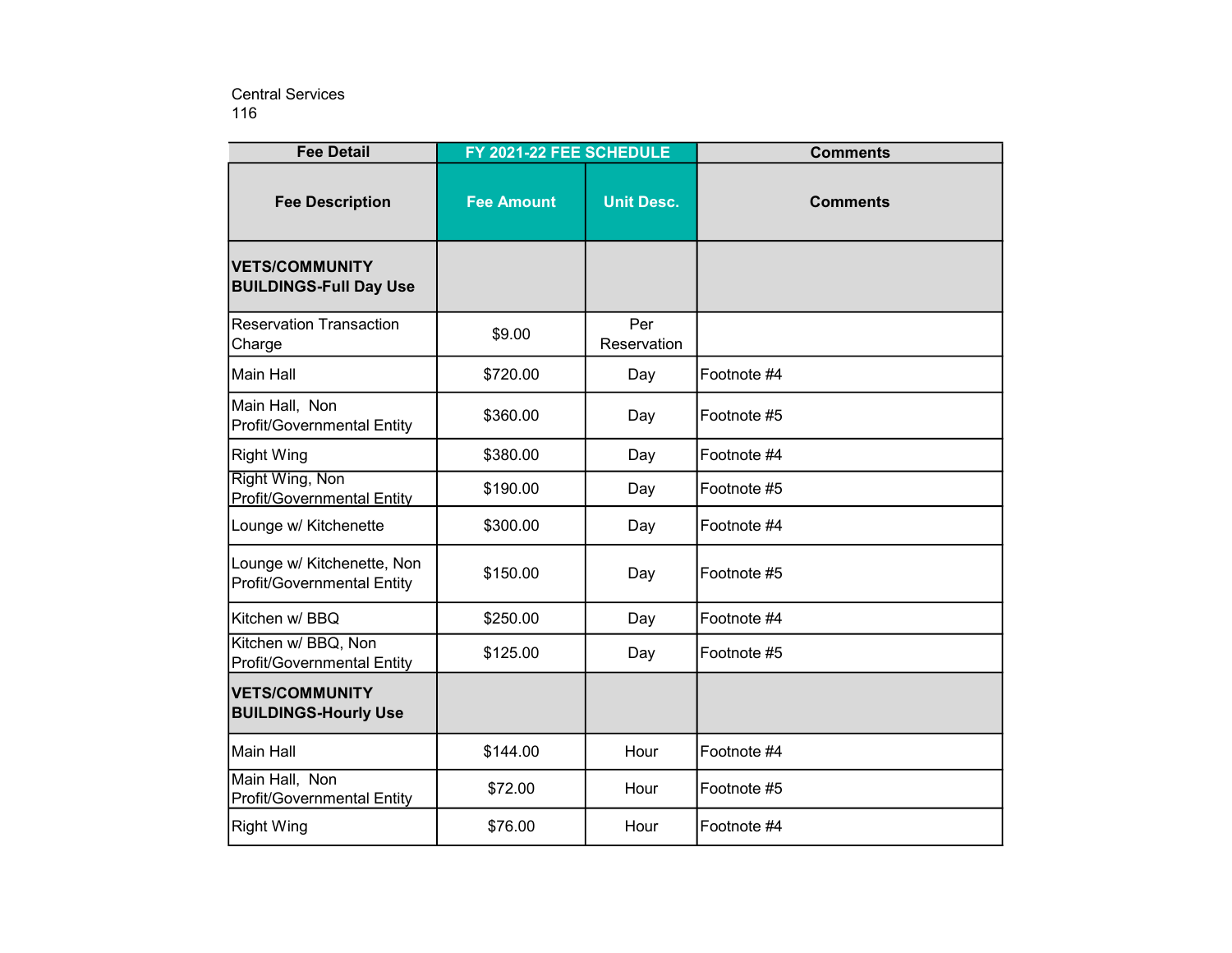116 Central Services

| <b>Fee Detail</b>                                               | FY 2021-22 FEE SCHEDULE |                    | <b>Comments</b> |
|-----------------------------------------------------------------|-------------------------|--------------------|-----------------|
| <b>Fee Description</b>                                          | <b>Fee Amount</b>       | <b>Unit Desc.</b>  | <b>Comments</b> |
| <b>VETS/COMMUNITY</b><br><b>BUILDINGS-Full Day Use</b>          |                         |                    |                 |
| <b>Reservation Transaction</b><br>Charge                        | \$9.00                  | Per<br>Reservation |                 |
| Main Hall                                                       | \$720.00                | Day                | Footnote #4     |
| Main Hall, Non<br><b>Profit/Governmental Entity</b>             | \$360.00                | Day                | Footnote #5     |
| <b>Right Wing</b>                                               | \$380.00                | Day                | Footnote #4     |
| <b>Right Wing, Non</b><br><b>Profit/Governmental Entity</b>     | \$190.00                | Day                | Footnote #5     |
| Lounge w/ Kitchenette                                           | \$300.00                | Day                | Footnote #4     |
| Lounge w/ Kitchenette, Non<br><b>Profit/Governmental Entity</b> | \$150.00                | Day                | Footnote #5     |
| Kitchen w/ BBQ                                                  | \$250.00                | Day                | Footnote #4     |
| Kitchen w/ BBQ, Non<br><b>Profit/Governmental Entity</b>        | \$125.00                | Day                | Footnote #5     |
| <b>VETS/COMMUNITY</b><br><b>BUILDINGS-Hourly Use</b>            |                         |                    |                 |
| <b>Main Hall</b>                                                | \$144.00                | Hour               | Footnote #4     |
| Main Hall, Non<br><b>Profit/Governmental Entity</b>             | \$72.00                 | Hour               | Footnote #5     |
| <b>Right Wing</b>                                               | \$76.00                 | Hour               | Footnote #4     |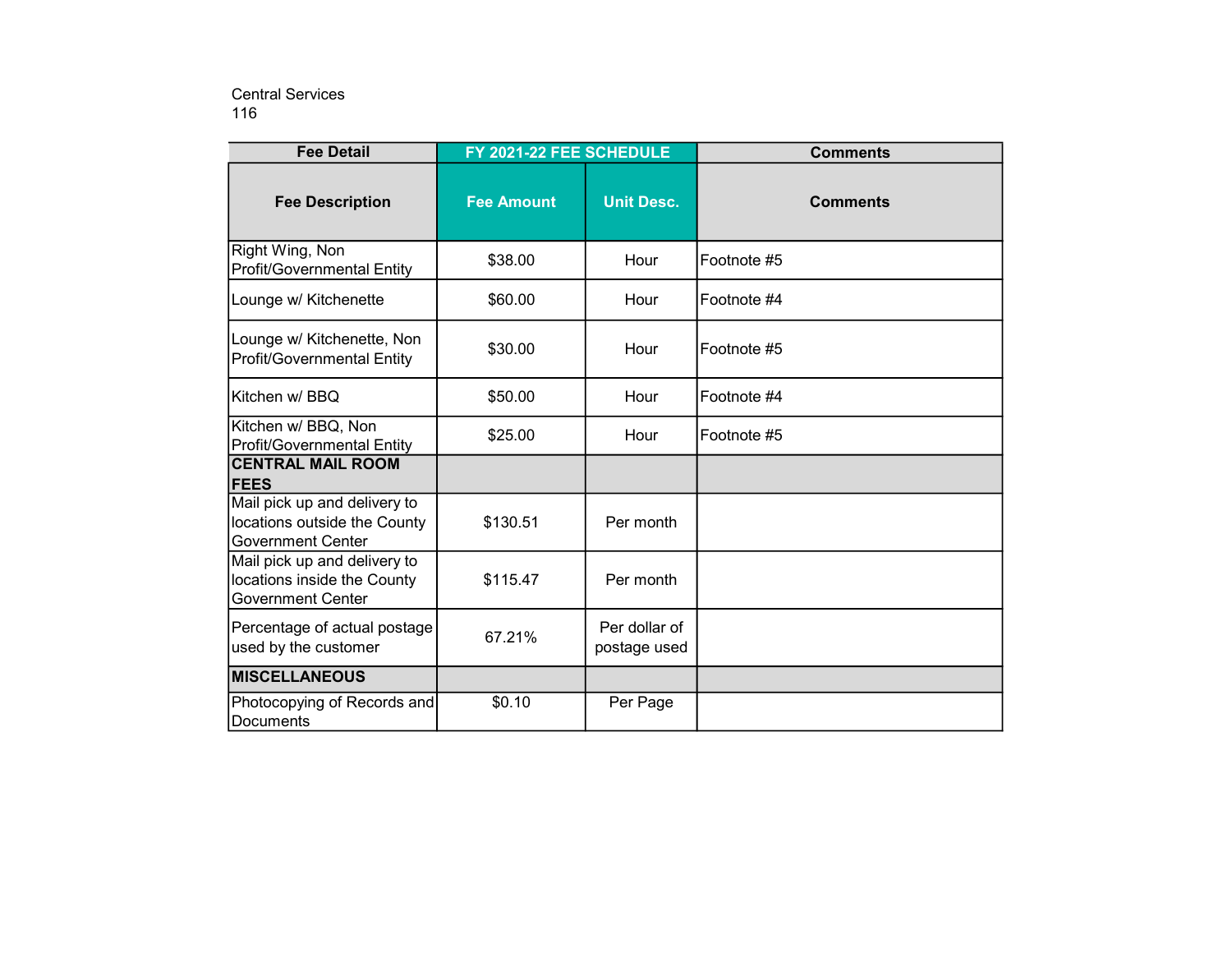## 116 Central Services

| <b>Fee Detail</b>                                                                        | FY 2021-22 FEE SCHEDULE |                               | <b>Comments</b> |
|------------------------------------------------------------------------------------------|-------------------------|-------------------------------|-----------------|
| <b>Fee Description</b>                                                                   | <b>Fee Amount</b>       | <b>Unit Desc.</b>             | <b>Comments</b> |
| Right Wing, Non<br><b>Profit/Governmental Entity</b>                                     | \$38.00                 | Hour                          | Footnote #5     |
| Lounge w/ Kitchenette                                                                    | \$60.00                 | Hour                          | Footnote #4     |
| Lounge w/ Kitchenette, Non<br><b>Profit/Governmental Entity</b>                          | \$30.00                 | Hour                          | Footnote #5     |
| Kitchen w/ BBQ                                                                           | \$50.00                 | Hour                          | Footnote #4     |
| Kitchen w/ BBQ, Non<br><b>Profit/Governmental Entity</b>                                 | \$25.00                 | Hour                          | Footnote #5     |
| <b>CENTRAL MAIL ROOM</b><br><b>FEES</b>                                                  |                         |                               |                 |
| Mail pick up and delivery to<br>locations outside the County<br><b>Government Center</b> | \$130.51                | Per month                     |                 |
| Mail pick up and delivery to<br>locations inside the County<br><b>Government Center</b>  | \$115.47                | Per month                     |                 |
| Percentage of actual postage<br>used by the customer                                     | 67.21%                  | Per dollar of<br>postage used |                 |
| <b>MISCELLANEOUS</b>                                                                     |                         |                               |                 |
| Photocopying of Records and<br>Documents                                                 | \$0.10                  | Per Page                      |                 |